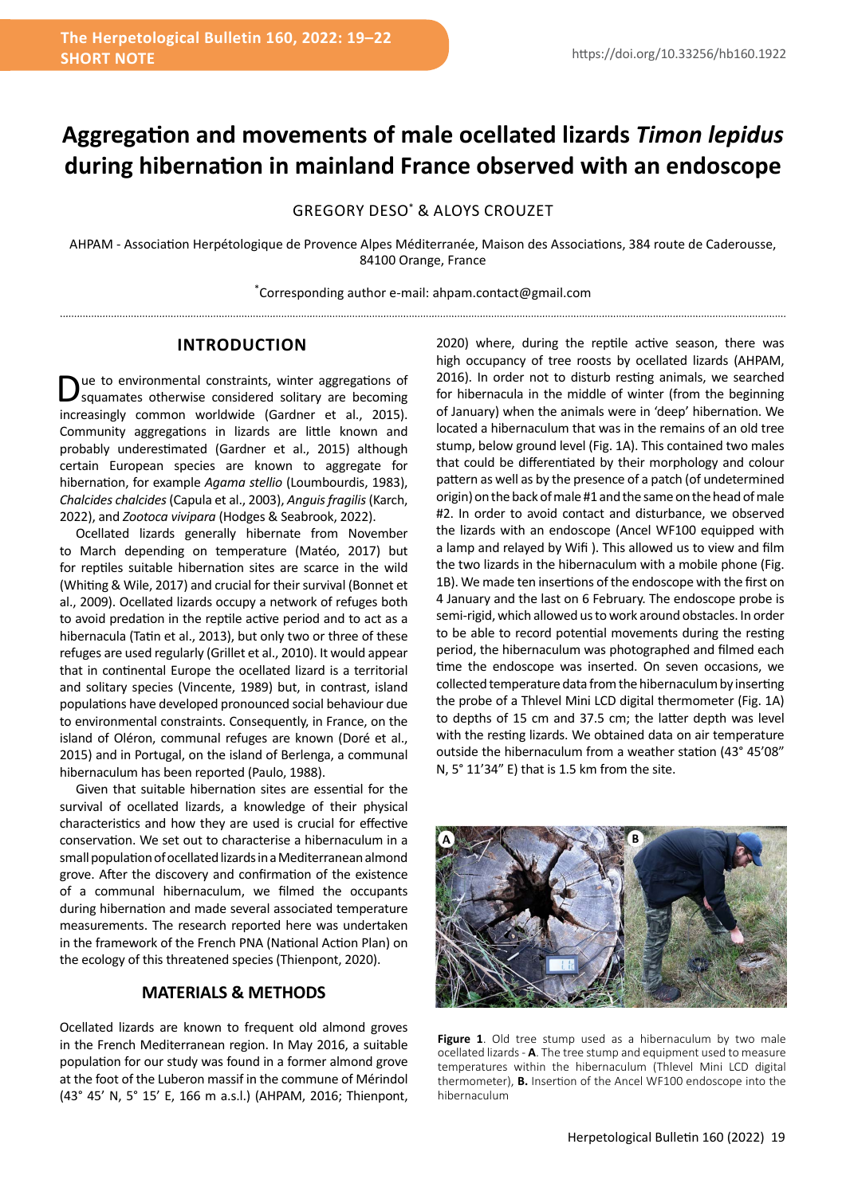# **Aggregation and movements of male ocellated lizards** *Timon lepidus*  **during hibernation in mainland France observed with an endoscope**

GREGORY DESO\* & ALOYS CROUZET

AHPAM - Association Herpétologique de Provence Alpes Méditerranée, Maison des Associations, 384 route de Caderousse, 84100 Orange, France

\* Corresponding author e-mail: ahpam.contact@gmail.com

## **INTRODUCTION**

ue to environmental constraints, winter aggregations of squamates otherwise considered solitary are becoming increasingly common worldwide (Gardner et al., 2015). Community aggregations in lizards are little known and probably underestimated (Gardner et al., 2015) although certain European species are known to aggregate for hibernation, for example *Agama stellio* (Loumbourdis, 1983), *Chalcides chalcides* (Capula et al., 2003), *Anguis fragilis* (Karch, 2022), and *Zootoca vivipara* (Hodges & Seabrook, 2022).

Ocellated lizards generally hibernate from November to March depending on temperature (Matéo, 2017) but for reptiles suitable hibernation sites are scarce in the wild (Whiting & Wile, 2017) and crucial for their survival (Bonnet et al., 2009). Ocellated lizards occupy a network of refuges both to avoid predation in the reptile active period and to act as a hibernacula (Tatin et al., 2013), but only two or three of these refuges are used regularly (Grillet et al., 2010). It would appear that in continental Europe the ocellated lizard is a territorial and solitary species (Vincente, 1989) but, in contrast, island populations have developed pronounced social behaviour due to environmental constraints. Consequently, in France, on the island of Oléron, communal refuges are known (Doré et al., 2015) and in Portugal, on the island of Berlenga, a communal hibernaculum has been reported (Paulo, 1988).

Given that suitable hibernation sites are essential for the survival of ocellated lizards, a knowledge of their physical characteristics and how they are used is crucial for effective conservation. We set out to characterise a hibernaculum in a small population of ocellated lizards in a Mediterranean almond grove. After the discovery and confirmation of the existence of a communal hibernaculum, we filmed the occupants during hibernation and made several associated temperature measurements. The research reported here was undertaken in the framework of the French PNA (National Action Plan) on the ecology of this threatened species (Thienpont, 2020).

### **MATERIALS & METHODS**

Ocellated lizards are known to frequent old almond groves in the French Mediterranean region. In May 2016, a suitable population for our study was found in a former almond grove at the foot of the Luberon massif in the commune of Mérindol (43° 45' N, 5° 15' E, 166 m a.s.l.) (AHPAM, 2016; Thienpont, 2020) where, during the reptile active season, there was high occupancy of tree roosts by ocellated lizards (AHPAM, 2016). In order not to disturb resting animals, we searched for hibernacula in the middle of winter (from the beginning of January) when the animals were in 'deep' hibernation. We located a hibernaculum that was in the remains of an old tree stump, below ground level (Fig. 1A). This contained two males that could be differentiated by their morphology and colour pattern as well as by the presence of a patch (of undetermined origin) on the back of male #1 and the same on the head of male #2. In order to avoid contact and disturbance, we observed the lizards with an endoscope (Ancel WF100 equipped with a lamp and relayed by Wifi ). This allowed us to view and film the two lizards in the hibernaculum with a mobile phone (Fig. 1B). We made ten insertions of the endoscope with the first on 4 January and the last on 6 February. The endoscope probe is semi-rigid, which allowed us to work around obstacles. In order to be able to record potential movements during the resting period, the hibernaculum was photographed and filmed each time the endoscope was inserted. On seven occasions, we collected temperature data from the hibernaculum by inserting the probe of a Thlevel Mini LCD digital thermometer (Fig. 1A) to depths of 15 cm and 37.5 cm; the latter depth was level with the resting lizards. We obtained data on air temperature outside the hibernaculum from a weather station (43° 45'08" N, 5° 11'34" E) that is 1.5 km from the site.



Figure 1. Old tree stump used as a hibernaculum by two male ocellated lizards - **A**. The tree stump and equipment used to measure temperatures within the hibernaculum (Thlevel Mini LCD digital thermometer), **B.** Insertion of the Ancel WF100 endoscope into the hibernaculum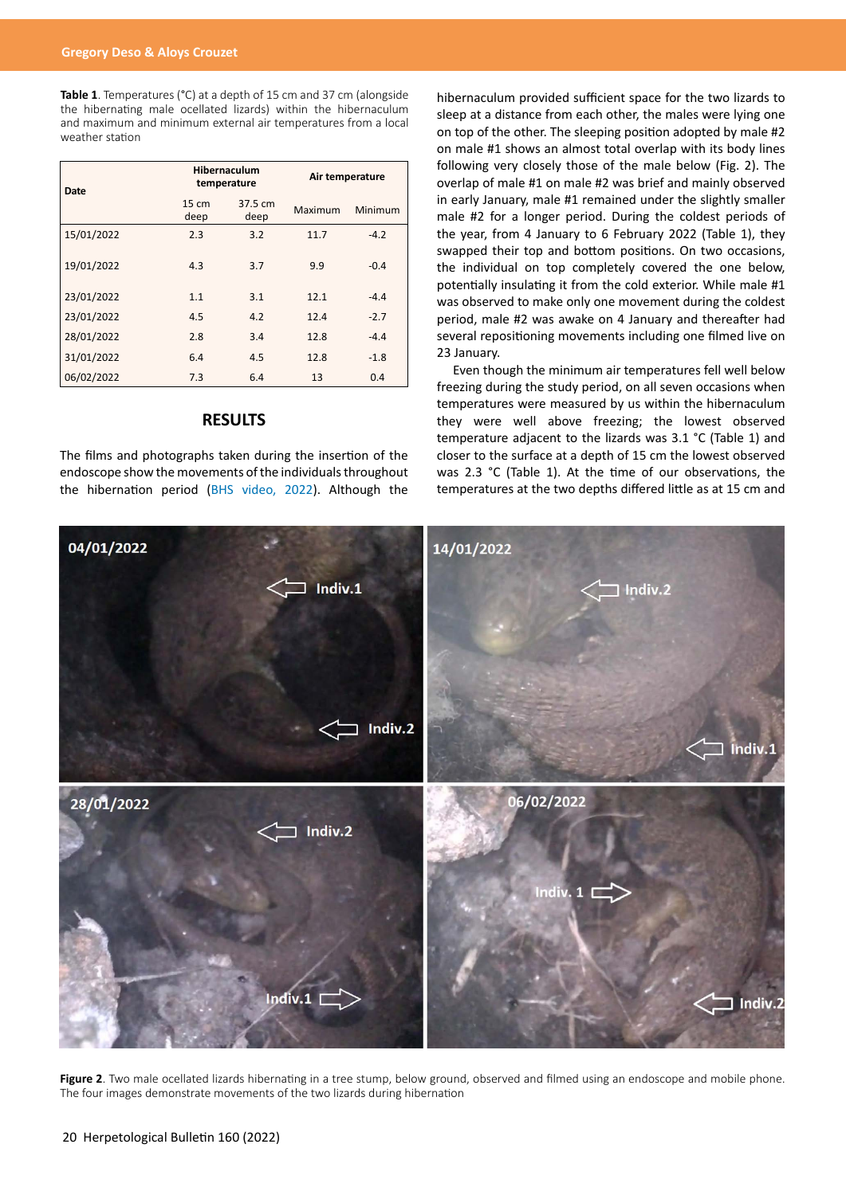**Table 1**. Temperatures (°C) at a depth of 15 cm and 37 cm (alongside the hibernating male ocellated lizards) within the hibernaculum and maximum and minimum external air temperatures from a local weather station

| Date       | Hibernaculum<br>temperature |                 | Air temperature |         |
|------------|-----------------------------|-----------------|-----------------|---------|
|            | 15 cm<br>deep               | 37.5 cm<br>deep | Maximum         | Minimum |
| 15/01/2022 | 2.3                         | 3.2             | 11.7            | $-4.2$  |
| 19/01/2022 | 4.3                         | 3.7             | 9.9             | $-0.4$  |
| 23/01/2022 | 1.1                         | 3.1             | 12.1            | $-4.4$  |
| 23/01/2022 | 4.5                         | 4.2             | 12.4            | $-2.7$  |
| 28/01/2022 | 2.8                         | 3.4             | 12.8            | $-4.4$  |
| 31/01/2022 | 6.4                         | 4.5             | 12.8            | $-1.8$  |
| 06/02/2022 | 7.3                         | 6.4             | 13              | 0.4     |

## **RESULTS**

The films and photographs taken during the insertion of the endoscope show the movements of the individuals throughout the hibernation period ([BHS video, 2022](https://youtu.be/eJzK-FfDisg)). Although the hibernaculum provided sufficient space for the two lizards to sleep at a distance from each other, the males were lying one on top of the other. The sleeping position adopted by male #2 on male #1 shows an almost total overlap with its body lines following very closely those of the male below (Fig. 2). The overlap of male #1 on male #2 was brief and mainly observed in early January, male #1 remained under the slightly smaller male #2 for a longer period. During the coldest periods of the year, from 4 January to 6 February 2022 (Table 1), they swapped their top and bottom positions. On two occasions, the individual on top completely covered the one below, potentially insulating it from the cold exterior. While male #1 was observed to make only one movement during the coldest period, male #2 was awake on 4 January and thereafter had several repositioning movements including one filmed live on 23 January.

Even though the minimum air temperatures fell well below freezing during the study period, on all seven occasions when temperatures were measured by us within the hibernaculum they were well above freezing; the lowest observed temperature adjacent to the lizards was 3.1 °C (Table 1) and closer to the surface at a depth of 15 cm the lowest observed was 2.3 °C (Table 1). At the time of our observations, the temperatures at the two depths differed little as at 15 cm and



Figure 2. Two male ocellated lizards hibernating in a tree stump, below ground, observed and filmed using an endoscope and mobile phone. The four images demonstrate movements of the two lizards during hibernation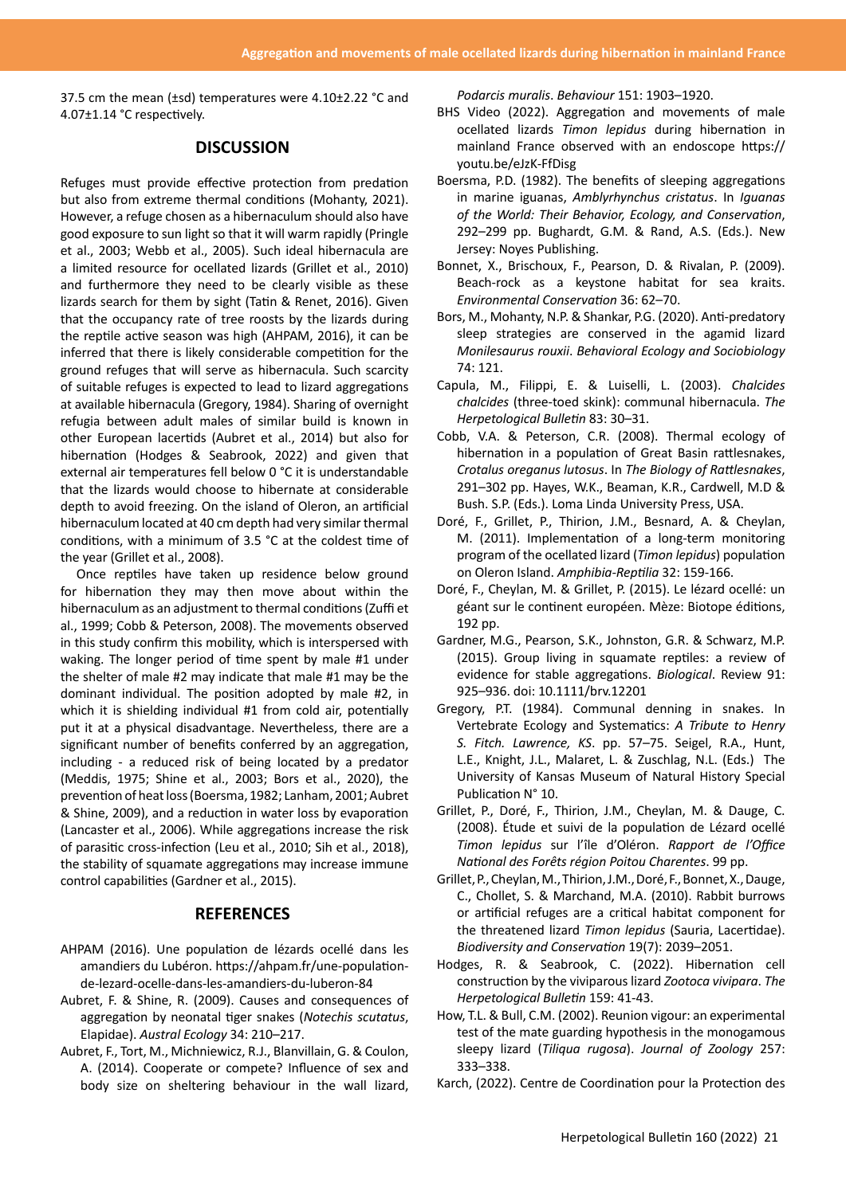37.5 cm the mean (±sd) temperatures were 4.10±2.22 °C and 4.07±1.14 °C respectively.

#### **DISCUSSION**

Refuges must provide effective protection from predation but also from extreme thermal conditions (Mohanty, 2021). However, a refuge chosen as a hibernaculum should also have good exposure to sun light so that it will warm rapidly (Pringle et al., 2003; Webb et al., 2005). Such ideal hibernacula are a limited resource for ocellated lizards (Grillet et al., 2010) and furthermore they need to be clearly visible as these lizards search for them by sight (Tatin & Renet, 2016). Given that the occupancy rate of tree roosts by the lizards during the reptile active season was high (AHPAM, 2016), it can be inferred that there is likely considerable competition for the ground refuges that will serve as hibernacula. Such scarcity of suitable refuges is expected to lead to lizard aggregations at available hibernacula (Gregory, 1984). Sharing of overnight refugia between adult males of similar build is known in other European lacertids (Aubret et al., 2014) but also for hibernation (Hodges & Seabrook, 2022) and given that external air temperatures fell below 0 °C it is understandable that the lizards would choose to hibernate at considerable depth to avoid freezing. On the island of Oleron, an artificial hibernaculum located at 40 cm depth had very similar thermal conditions, with a minimum of 3.5 °C at the coldest time of the year (Grillet et al., 2008).

Once reptiles have taken up residence below ground for hibernation they may then move about within the hibernaculum as an adjustment to thermal conditions (Zuffi et al., 1999; Cobb & Peterson, 2008). The movements observed in this study confirm this mobility, which is interspersed with waking. The longer period of time spent by male #1 under the shelter of male #2 may indicate that male #1 may be the dominant individual. The position adopted by male #2, in which it is shielding individual #1 from cold air, potentially put it at a physical disadvantage. Nevertheless, there are a significant number of benefits conferred by an aggregation, including - a reduced risk of being located by a predator (Meddis, 1975; Shine et al., 2003; Bors et al., 2020), the prevention of heat loss (Boersma, 1982; Lanham, 2001; Aubret & Shine, 2009), and a reduction in water loss by evaporation (Lancaster et al., 2006). While aggregations increase the risk of parasitic cross-infection (Leu et al., 2010; Sih et al., 2018), the stability of squamate aggregations may increase immune control capabilities (Gardner et al., 2015).

#### **REFERENCES**

- AHPAM (2016). Une population de lézards ocellé dans les amandiers du Lubéron. https://ahpam.fr/une-populationde-lezard-ocelle-dans-les-amandiers-du-luberon-84
- Aubret, F. & Shine, R. (2009). Causes and consequences of aggregation by neonatal tiger snakes (*Notechis scutatus*, Elapidae). *Austral Ecology* 34: 210–217.
- Aubret, F., Tort, M., Michniewicz, R.J., Blanvillain, G. & Coulon, A. (2014). Cooperate or compete? Influence of sex and body size on sheltering behaviour in the wall lizard,

*Podarcis muralis*. *Behaviour* 151: 1903–1920.

- BHS Video (2022). Aggregation and movements of male ocellated lizards *Timon lepidus* during hibernation in mainland France observed with an endoscope https:// youtu.be/eJzK-FfDisg
- Boersma, P.D. (1982). The benefits of sleeping aggregations in marine iguanas, *Amblyrhynchus cristatus*. In *Iguanas of the World: Their Behavior, Ecology, and Conservation*, 292–299 pp. Bughardt, G.M. & Rand, A.S. (Eds.). New Jersey: Noyes Publishing.
- Bonnet, X., Brischoux, F., Pearson, D. & Rivalan, P. (2009). Beach-rock as a keystone habitat for sea kraits. *Environmental Conservation* 36: 62–70.
- Bors, M., Mohanty, N.P. & Shankar, P.G. (2020). Anti-predatory sleep strategies are conserved in the agamid lizard *Monilesaurus rouxii*. *Behavioral Ecology and Sociobiology*  74: 121.
- Capula, M., Filippi, E. & Luiselli, L. (2003). *Chalcides chalcides* (three-toed skink): communal hibernacula. *The Herpetological Bulletin* 83: 30–31.
- Cobb, V.A. & Peterson, C.R. (2008). Thermal ecology of hibernation in a population of Great Basin rattlesnakes, *Crotalus oreganus lutosus*. In *The Biology of Rattlesnakes*, 291–302 pp. Hayes, W.K., Beaman, K.R., Cardwell, M.D & Bush. S.P. (Eds.). Loma Linda University Press, USA.
- Doré, F., Grillet, P., Thirion, J.M., Besnard, A. & Cheylan, M. (2011). Implementation of a long-term monitoring program of the ocellated lizard (*Timon lepidus*) population on Oleron Island. *Amphibia-Reptilia* 32: 159-166.
- Doré, F., Cheylan, M. & Grillet, P. (2015). Le lézard ocellé: un géant sur le continent européen. Mèze: Biotope éditions, 192 pp.
- Gardner, M.G., Pearson, S.K., Johnston, G.R. & Schwarz, M.P. (2015). Group living in squamate reptiles: a review of evidence for stable aggregations. *Biological*. Review 91: 925–936. doi: 10.1111/brv.12201
- Gregory, P.T. (1984). Communal denning in snakes. In Vertebrate Ecology and Systematics: *A Tribute to Henry S. Fitch. Lawrence, KS*. pp. 57–75. Seigel, R.A., Hunt, L.E., Knight, J.L., Malaret, L. & Zuschlag, N.L. (Eds.) The University of Kansas Museum of Natural History Special Publication N° 10.
- Grillet, P., Doré, F., Thirion, J.M., Cheylan, M. & Dauge, C. (2008). Étude et suivi de la population de Lézard ocellé *Timon lepidus* sur l'île d'Oléron. *Rapport de l'Office National des Forêts région Poitou Charentes*. 99 pp.
- Grillet, P., Cheylan, M., Thirion, J.M., Doré, F., Bonnet, X., Dauge, C., Chollet, S. & Marchand, M.A. (2010). Rabbit burrows or artificial refuges are a critical habitat component for the threatened lizard *Timon lepidus* (Sauria, Lacertidae). *Biodiversity and Conservation* 19(7): 2039–2051.
- Hodges, R. & Seabrook, C. (2022). Hibernation cell construction by the viviparous lizard *Zootoca vivipara*. *The Herpetological Bulletin* 159: 41-43.
- How, T.L. & Bull, C.M. (2002). Reunion vigour: an experimental test of the mate guarding hypothesis in the monogamous sleepy lizard (*Tiliqua rugosa*). *Journal of Zoology* 257: 333–338.
- Karch, (2022). Centre de Coordination pour la Protection des